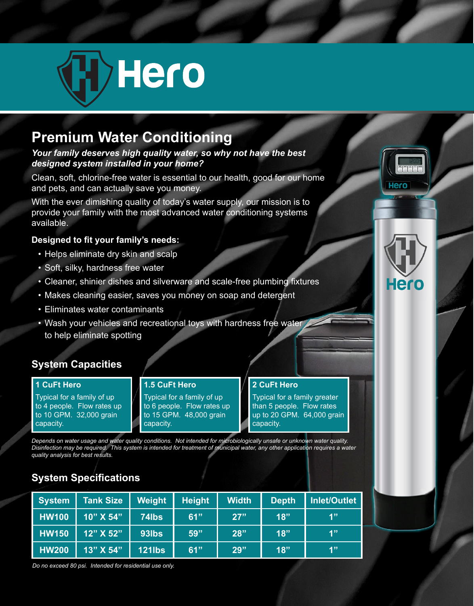

## **Premium Water Conditioning**

#### *Your family deserves high quality water, so why not have the best designed system installed in your home?*

Clean, soft, chlorine-free water is essential to our health, good for our home and pets, and can actually save you money.

With the ever dimishing quality of today's water supply, our mission is to provide your family with the most advanced water conditioning systems available.

#### **Designed to fit your family's needs:**

- Helps eliminate dry skin and scalp
- Soft, silky, hardness free water
- Cleaner, shinier dishes and silverware and scale-free plumbing fixtures
- Makes cleaning easier, saves you money on soap and detergent
- Eliminates water contaminants
- Wash your vehicles and recreational toys with hardness free water to help eliminate spotting

### **System Capacities**

#### **1 CuFt Hero**

Typical for a family of up to 4 people. Flow rates up to 10 GPM. 32,000 grain capacity.

#### **1.5 CuFt Hero**

Typical for a family of up to 6 people. Flow rates up to 15 GPM. 48,000 grain capacity.

#### **2 CuFt Hero**

Typical for a family greater than 5 people. Flow rates up to 20 GPM. 64,000 grain capacity.

Hero

*Depends on water usage and water quality conditions. Not intended for microbiologically unsafe or unknown water quality. Disinfection may be required. This system is intended for treatment of municipal water, any other application requires a water quality analysis for best results.*

## **System Specifications**

| <b>System</b> | <b>Tank Size</b>              | Weight        | <b>Height</b> | <b>Width</b> | <b>Depth</b> | Inlet/Outlet |
|---------------|-------------------------------|---------------|---------------|--------------|--------------|--------------|
| <b>HW100</b>  | 10" X 54"                     | 74lbs         | 61"           | 27"          | 18"          | 4"           |
| <b>HW150</b>  | $12"\overline{\text{X}}\,52"$ | 93lbs         | 59"           | 28"          | 18"          | 1"           |
| <b>HW200</b>  | 13" X 54"                     | <b>121lbs</b> | 61"           | 29"          | 18"          | 1"           |

*Do no exceed 80 psi. Intended for residential use only.*